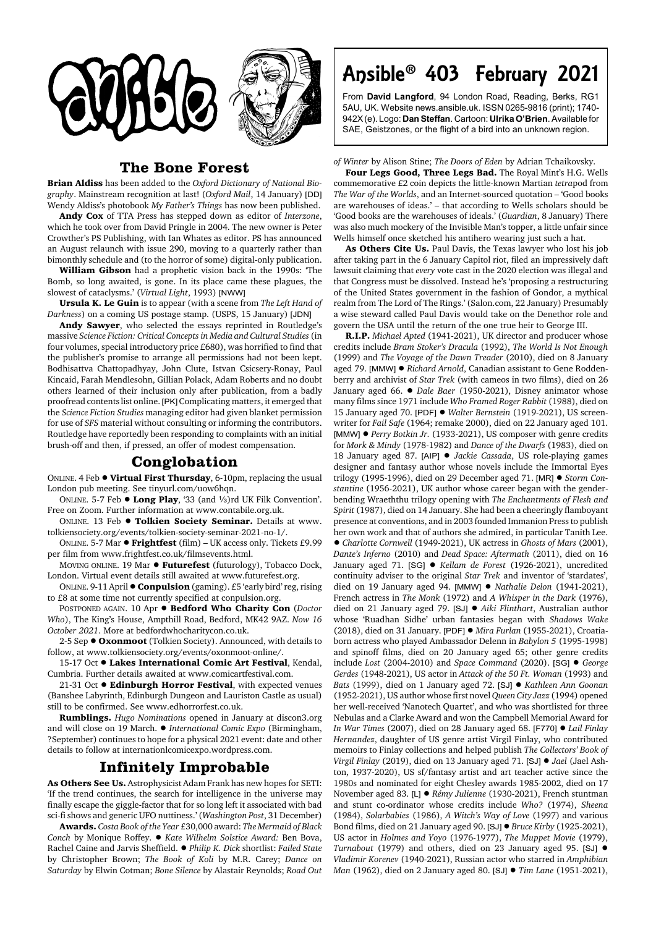

## **The Bone Forest**

**Brian Aldiss** has been added to the *Oxford Dictionary of National Biography*. Mainstream recognition at last! (*Oxford Mail*, 14 January) [DD] Wendy Aldiss's photobook *My Father's Things* has now been published.

**Andy Cox** of TTA Press has stepped down as editor of *Interzone*, which he took over from David Pringle in 2004. The new owner is Peter Crowther's PS Publishing, with Ian Whates as editor. PS has announced an August relaunch with issue 290, moving to a quarterly rather than bimonthly schedule and (to the horror of some) digital-only publication.

**William Gibson** had a prophetic vision back in the 1990s: 'The Bomb, so long awaited, is gone. In its place came these plagues, the slowest of cataclysms.' (*Virtual Light*, 1993) [NWW]

**Ursula K. Le Guin** is to appear (with a scene from *The Left Hand of Darkness*) on a coming US postage stamp. (USPS, 15 January) [JDN]

**Andy Sawyer**, who selected the essays reprinted in Routledge's massive *Science Fiction: Critical Concepts in Media and Cultural Studies* (in four volumes, special introductory price £680), was horrified to find that the publisher's promise to arrange all permissions had not been kept. Bodhisattva Chattopadhyay, John Clute, Istvan Csicsery-Ronay, Paul Kincaid, Farah Mendlesohn, Gillian Polack, Adam Roberts and no doubt others learned of their inclusion only after publication, from a badly proofread contents list online. [PK] Complicating matters, it emerged that the *Science Fiction Studies* managing editor had given blanket permission for use of *SFS* material without consulting or informing the contributors. Routledge have reportedly been responding to complaints with an initial brush-off and then, if pressed, an offer of modest compensation.

## **Conglobation**

ONLINE. 4 Feb ! **Virtual First Thursday**, 6-10pm, replacing the usual London pub meeting. See tinyurl.com/uow6hqn.

ONLINE. 5-7 Feb  $\bullet$  **Long Play**, '33 (and 1/3)rd UK Filk Convention'. Free on Zoom. Further information at www.contabile.org.uk.

ONLINE. 13 Feb  $\bullet$  **Tolkien Society Seminar.** Details at www. tolkiensociety.org/events/tolkien-society-seminar-2021-no-1/.

ONLINE. 5-7 Mar ! **Frightfest** (film) – UK access only. Tickets £9.99 per film from www.frightfest.co.uk/filmsevents.html.

MOVING ONLINE. 19 Mar  $\bullet$  Futurefest (futurology), Tobacco Dock, London. Virtual event details still awaited at www.futurefest.org.

ONLINE. 9-11 April ● **Conpulsion** (gaming). £5 'early bird' reg, rising to £8 at some time not currently specified at conpulsion.org.

POSTPONED AGAIN. 10 Apr ! **Bedford Who Charity Con** (*Doctor Who*), The King's House, Ampthill Road, Bedford, MK42 9AZ. *Now 16 October 2021*. More at bedfordwhocharitycon.co.uk.

2-5 Sep ! **Oxonmoot** (Tolkien Society). Announced, with details to follow, at www.tolkiensociety.org/events/oxonmoot-online/.

15-17 Oct  $\bullet$  Lakes International Comic Art Festival, Kendal, Cumbria. Further details awaited at www.comicartfestival.com.

21-31 Oct  $\bullet$  **Edinburgh Horror Festival**, with expected venues (Banshee Labyrinth, Edinburgh Dungeon and Lauriston Castle as usual) still to be confirmed. See www.edhorrorfest.co.uk.

**Rumblings.** *Hugo Nominations* opened in January at discon3.org and will close on 19 March. ! *International Comic Expo* (Birmingham, ?September) continues to hope for a physical 2021 event: date and other details to follow at internationlcomicexpo.wordpress.com.

## **Infinitely Improbable**

**As Others See Us.** Astrophysicist Adam Frank has new hopes for SETI: 'If the trend continues, the search for intelligence in the universe may finally escape the giggle-factor that for so long left it associated with bad sci-fi shows and generic UFO nuttiness.' (*Washington Post*, 31 December)

**Awards.** *Costa Book of the Year* £30,000 award: *The Mermaid of Black Conch* by Monique Roffey. ! *Kate Wilhelm Solstice Award:* Ben Bova, Rachel Caine and Jarvis Sheffield. ! *Philip K. Dick* shortlist: *Failed State* by Christopher Brown; *The Book of Koli* by M.R. Carey; *Dance on Saturday* by Elwin Cotman; *Bone Silence* by Alastair Reynolds; *Road Out*

## Ansible® 403 February 2021

From **David Langford**, 94 London Road, Reading, Berks, RG1 5AU, UK. Website news.ansible.uk. ISSN 0265-9816 (print); 1740- 942X (e). Logo: **Dan Steffan**. Cartoon: **Ulrika O'Brien**. Available for SAE, Geistzones, or the flight of a bird into an unknown region.

*of Winter* by Alison Stine; *The Doors of Eden* by Adrian Tchaikovsky.

**Four Legs Good, Three Legs Bad.** The Royal Mint's H.G. Wells commemorative £2 coin depicts the little-known Martian *tetra*pod from *The War of the Worlds*, and an Internet-sourced quotation – 'Good books are warehouses of ideas.' – that according to Wells scholars should be 'Good books are the warehouses of ideals.' (*Guardian*, 8 January) There was also much mockery of the Invisible Man's topper, a little unfair since Wells himself once sketched his antihero wearing just such a hat.

**As Others Cite Us.** Paul Davis, the Texas lawyer who lost his job after taking part in the 6 January Capitol riot, filed an impressively daft lawsuit claiming that *every* vote cast in the 2020 election was illegal and that Congress must be dissolved. Instead he's 'proposing a restructuring of the United States government in the fashion of Gondor, a mythical realm from The Lord of The Rings.' (Salon.com, 22 January) Presumably a wise steward called Paul Davis would take on the Denethor role and govern the USA until the return of the one true heir to George III.

**R.I.P.** *Michael Apted* (1941-2021), UK director and producer whose credits include *Bram Stoker's Dracula* (1992), *The World Is Not Enough* (1999) and *The Voyage of the Dawn Treader* (2010), died on 8 January aged 79. [MMW] . *Richard Arnold*, Canadian assistant to Gene Roddenberry and archivist of *Star Trek* (with cameos in two films), died on 26 January aged 66.  $\bullet$  *Dale Baer* (1950-2021), Disney animator whose many films since 1971 include *Who Framed Roger Rabbit* (1988), died on 15 January aged 70. [PDF] ● *Walter Bernstein* (1919-2021), US screenwriter for *Fail Safe* (1964; remake 2000), died on 22 January aged 101. [MMW] ● Perry Botkin Jr. (1933-2021), US composer with genre credits for *Mork & Mindy* (1978-1982) and *Dance of the Dwarfs* (1983), died on 18 January aged 87. [AIP] ! *Jackie Cassada*, US role-playing games designer and fantasy author whose novels include the Immortal Eyes trilogy (1995-1996), died on 29 December aged 71. [MR] ! *Storm Constantine* (1956-2021), UK author whose career began with the genderbending Wraeththu trilogy opening with *The Enchantments of Flesh and Spirit* (1987), died on 14 January. She had been a cheeringly flamboyant presence at conventions, and in 2003 founded Immanion Press to publish her own work and that of authors she admired, in particular Tanith Lee. ! *Charlotte Cornwell* (1949-2021), UK actress in *Ghosts of Mars* (2001), *Dante's Inferno* (2010) and *Dead Space: Aftermath* (2011), died on 16 January aged 71. [SG]  $\bullet$  *Kellam de Forest* (1926-2021), uncredited continuity adviser to the original *Star Trek* and inventor of 'stardates', died on 19 January aged 94. [MMW] ! *Nathalie Delon* (1941-2021), French actress in *The Monk* (1972) and *A Whisper in the Dark* (1976), died on 21 January aged 79. [SJ] ! *Aiki Flinthart*, Australian author whose 'Ruadhan Sidhe' urban fantasies began with *Shadows Wake* (2018), died on 31 January. [PDF] ! *Mira Furlan* (1955-2021), Croatiaborn actress who played Ambassador Delenn in *Babylon 5* (1995-1998) and spinoff films, died on 20 January aged 65; other genre credits include *Lost* (2004-2010) and *Space Command* (2020). [SG] ! *George Gerdes* (1948-2021), US actor in *Attack of the 50 Ft. Woman* (1993) and *Bats* (1999), died on 1 January aged 72. [SJ] ! *Kathleen Ann Goonan* (1952-2021), US author whose first novel *Queen City Jazz* (1994) opened her well-received 'Nanotech Quartet', and who was shortlisted for three Nebulas and a Clarke Award and won the Campbell Memorial Award for *In War Times* (2007), died on 28 January aged 68. [F770] ! *Lail Finlay Hernandez*, daughter of US genre artist Virgil Finlay, who contributed memoirs to Finlay collections and helped publish *The Collectors' Book of Virgil Finlay* (2019), died on 13 January aged 71. [SJ] ! *Jael* (Jael Ashton, 1937-2020), US sf/fantasy artist and art teacher active since the 1980s and nominated for eight Chesley awards 1985-2002, died on 17 November aged 83. [L] ● *Rémy Julienne* (1930-2021), French stuntman and stunt co-ordinator whose credits include *Who?* (1974), *Sheena* (1984), *Solarbabies* (1986), *A Witch's Way of Love* (1997) and various Bond films, died on 21 January aged 90. [SJ] ! *Bruce Kirby* (1925-2021), US actor in *Holmes and Yoyo* (1976-1977), *The Muppet Movie* (1979), *Turnabout* (1979) and others, died on 23 January aged 95. [SJ] ! *Vladimir Korenev* (1940-2021), Russian actor who starred in *Amphibian Man* (1962), died on 2 January aged 80. [SJ] ! *Tim Lane* (1951-2021),